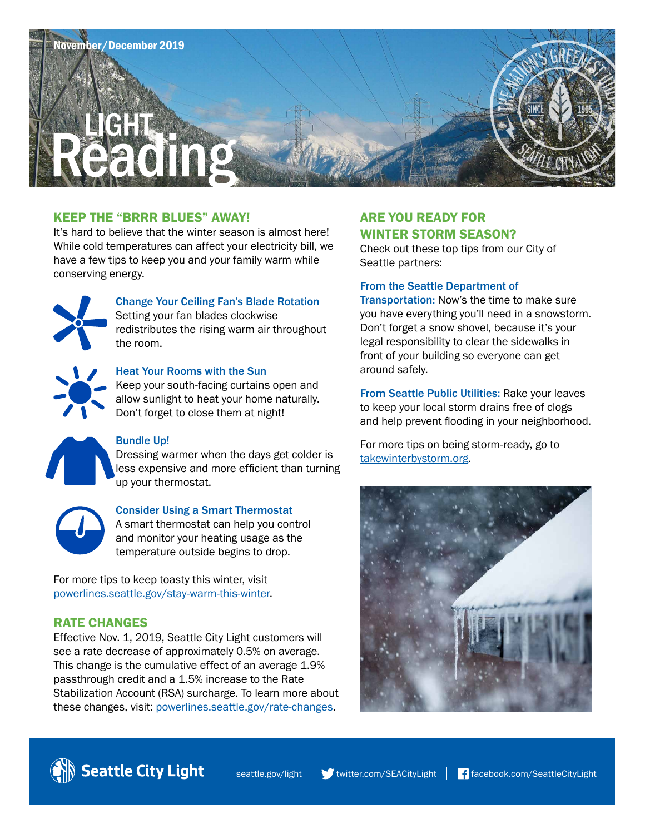

### KEEP THE "BRRR BLUES" AWAY!

It's hard to believe that the winter season is almost here! While cold temperatures can affect your electricity bill, we have a few tips to keep you and your family warm while conserving energy.



# Change Your Ceiling Fan's Blade Rotation

Setting your fan blades clockwise redistributes the rising warm air throughout the room.



### Heat Your Rooms with the Sun

Keep your south-facing curtains open and allow sunlight to heat your home naturally. Don't forget to close them at night!



#### Bundle Up!

Dressing warmer when the days get colder is less expensive and more efficient than turning up your thermostat.



#### Consider Using a Smart Thermostat

A smart thermostat can help you control and monitor your heating usage as the temperature outside begins to drop.

For more tips to keep toasty this winter, visit [powerlines.seattle.gov/stay-warm-this-winter](http://www.powerlines.seattle.gov/stay-warm-this-winter).

#### RATE CHANGES

Effective Nov. 1, 2019, Seattle City Light customers will see a rate decrease of approximately 0.5% on average. This change is the cumulative effect of an average 1.9% passthrough credit and a 1.5% increase to the Rate Stabilization Account (RSA) surcharge. To learn more about these changes, visit: [powerlines.seattle.gov/rate-changes.](http://www.powerlines.seattle.gov/rate-changes)

### ARE YOU READY FOR WINTER STORM SEASON?

Check out these top tips from our City of Seattle partners:

#### From the Seattle Department of

Transportation: Now's the time to make sure you have everything you'll need in a snowstorm. Don't forget a snow shovel, because it's your legal responsibility to clear the sidewalks in front of your building so everyone can get around safely.

From Seattle Public Utilities: Rake your leaves to keep your local storm drains free of clogs and help prevent flooding in your neighborhood.

For more tips on being storm-ready, go to [takewinterbystorm.org.](http://www.takewinterbystorm.org)